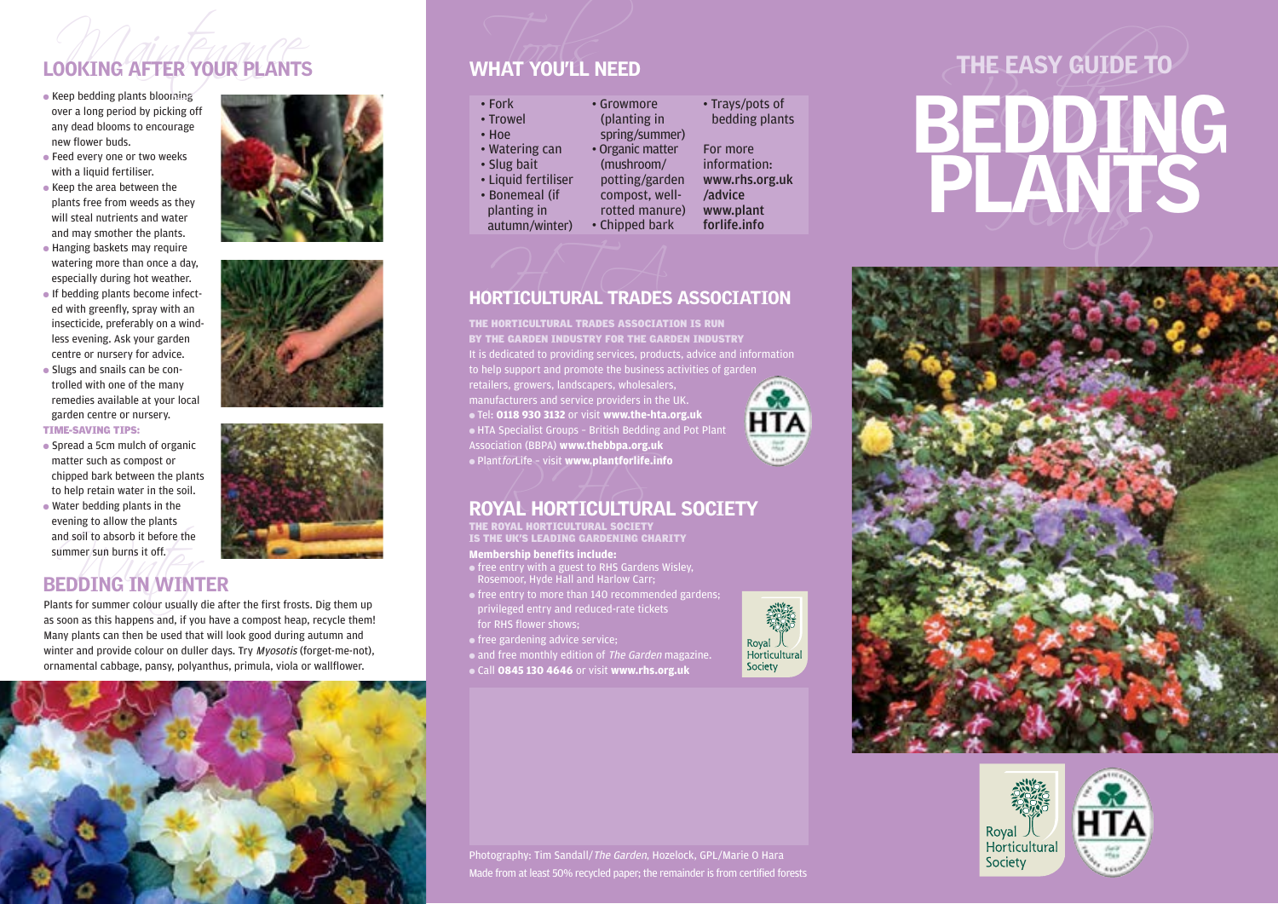# LOOKING AFTER YOUR PLANTS

- Keep bedding plants blooming over a long period by picking off any dead blooms to encourage new flower buds.
- Feed every one or two weeks with a liquid fertiliser.
- Keep the area between the plants free from weeds as they will steal nutrients and water and may smother the plants.
- Hanging baskets may require watering more than once a day, especially during hot weather.
- If bedding plants become infected with greenfly, spray with an insecticide, preferably on a windless evening. Ask your garden centre or nursery for advice.
- Slugs and snails can be controlled with one of the many remedies available at your local garden centre or nursery.

# TIME-SAVING TIPS:

- Spread a 5cm mulch of organic matter such as compost or chipped bark between the plants to help retain water in the soil.
- nd soil to absorb it before the<br>ummer sun burns it off.<br>**EDDING IN WINT**<br>nnts for summer colour usually d ● Water bedding plants in the evening to allow the plants and soil to absorb it before the summer sun burns it off.

# BEDDING IN WINTER

Plants for summer colour usually die after the first frosts. Dig them up as soon as this happens and, if you have a compost heap, recycle them! Many plants can then be used that will look good during autumn and winter and provide colour on duller days. Try *Myosotis* (forget-me-not), ornamental cabbage, pansy, polyanthus, primula, viola or wallflower.



# WHAT YOU'LL NEED

| · Trowel            | (planting in     | bedding      |
|---------------------|------------------|--------------|
| Hoe                 | spring/summer)   |              |
| Watering can        | • Organic matter | For more     |
| Slug bait           | (mushroom/       | informatic   |
| Liquid fertiliser   | potting/garden   | www.rhs.o    |
| <b>Bonemeal</b> (if | compost, well-   | /advice      |
| planting in         | rotted manure)   | www.plan     |
| autumn/winter)      | • Chipped bark   | forlife.info |
|                     |                  |              |

# **Experiment CONTROL CONTROL CONTROL**<br>HORTICULTURAL TRADES ASSOCIATION

It is dedicated to providing services, products, advice and information to help support and promote the business activities of garden THE HORTICULTURAL TRADES ASSOCIATION IS RUN BY THE GARDEN INDUSTRY FOR THE GARDEN INDUSTRY

retailers, growers, landscapers, wholesalers, manufacturers and service providers in the UK. ● Tel: **0118 930 3132** or visit **www.the-hta.org.uk** ● HTA Specialist Groups – British Bedding and Pot Plant Association (BBPA) **www.thebbpa.org.uk** ● PlantforLife – visit **www.plantforlife.info**



# $\bullet$  Plant*for*Life – visit www.plantforlife.info<br>ROYAL HORTICULTURAL SOCIETY

THE ROYAL HORTICULTURAL SOCIETY IS THE UK'S LEADING GARDENING CHARITY

# **Membership benefits include:**

- free entry with a guest to RHS Gardens Wisley, Rosemoor, Hyde Hall and Harlow Carr;
- free entry to more than 140 recommended gardens; privileged entry and reduced-rate tickets for RHS flower shows;
- free gardening advice service;
- and free monthly edition of The Garden magazine.

● Call **0845 130 4646** or visit **www.rhs.org.uk**



# VHAT YOU'LL NEED<br>
Fork<br>
Trowel<br>
Trowel (planting in bedding plants<br>
Hoe spring/summer)<br>
Watering can Organic matter<br>
Slug bait (mushroom/ information:<br>
Liquid fertiliser potting/garden www.w.fb.org.uk<br>
planting in correct





Photography: Tim Sandall/The Garden, Hozelock, GPL/Marie O Hara Made from at least 50% recycled paper; the remainder is from certified forests